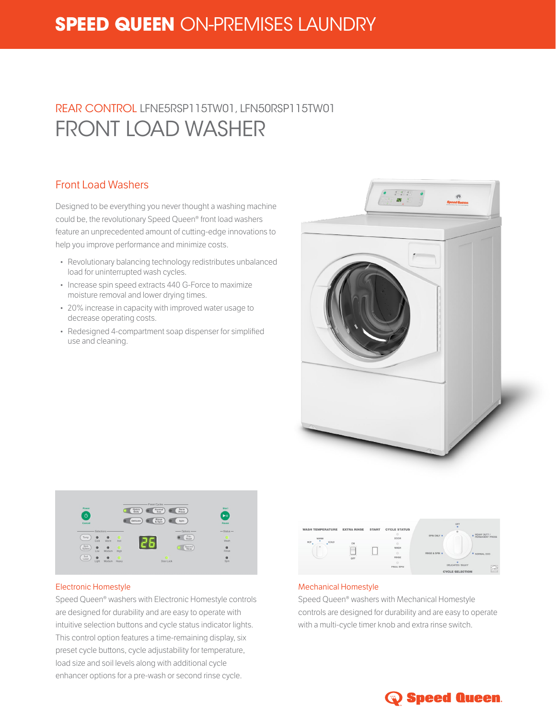# **SPEED QUEEN** ON-PREMISES LAUNDRY

# REAR CONTROL LFNE5RSP115TW01, LFN50RSP115TW01 FRONT LOAD WASHER

### Front Load Washers

Designed to be everything you never thought a washing machine could be, the revolutionary Speed Queen® front load washers feature an unprecedented amount of cutting-edge innovations to help you improve performance and minimize costs.

- Revolutionary balancing technology redistributes unbalanced load for uninterrupted wash cycles.
- Increase spin speed extracts 440 G-Force to maximize moisture removal and lower drying times.
- 20% increase in capacity with improved water usage to decrease operating costs.
- Redesigned 4-compartment soap dispenser for simplified use and cleaning.





#### Electronic Homestyle

Speed Queen® washers with Electronic Homestyle controls are designed for durability and are easy to operate with intuitive selection buttons and cycle status indicator lights. This control option features a time-remaining display, six preset cycle buttons, cycle adjustability for temperature, load size and soil levels along with additional cycle enhancer options for a pre-wash or second rinse cycle.



#### Mechanical Homestyle

Speed Queen® washers with Mechanical Homestyle controls are designed for durability and are easy to operate with a multi-cycle timer knob and extra rinse switch.